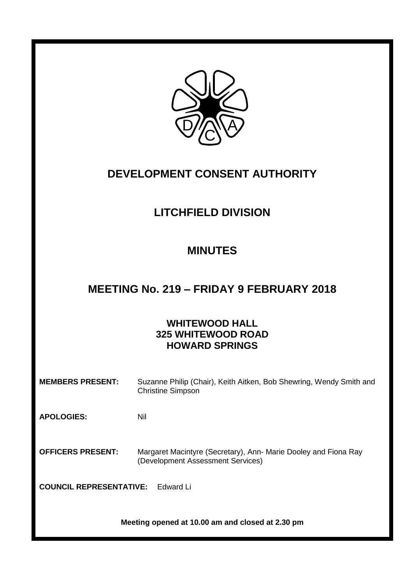

# **DEVELOPMENT CONSENT AUTHORITY**

# **LITCHFIELD DIVISION**

## **MINUTES**

### **MEETING No. 219 – FRIDAY 9 FEBRUARY 2018**

### **WHITEWOOD HALL 325 WHITEWOOD ROAD HOWARD SPRINGS**

**MEMBERS PRESENT:** Suzanne Philip (Chair), Keith Aitken, Bob Shewring, Wendy Smith and Christine Simpson

**APOLOGIES:** Nil

**OFFICERS PRESENT:** Margaret Macintyre (Secretary), Ann- Marie Dooley and Fiona Ray (Development Assessment Services)

**COUNCIL REPRESENTATIVE:** Edward Li

**Meeting opened at 10.00 am and closed at 2.30 pm**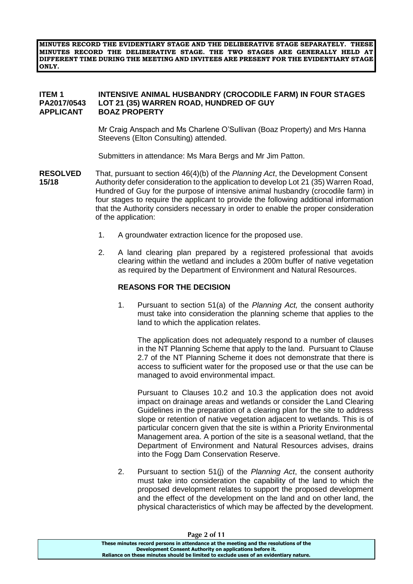**MINUTES RECORD THE EVIDENTIARY STAGE AND THE DELIBERATIVE STAGE SEPARATELY. THESE MINUTES RECORD THE DELIBERATIVE STAGE. THE TWO STAGES ARE GENERALLY HELD AT DIFFERENT TIME DURING THE MEETING AND INVITEES ARE PRESENT FOR THE EVIDENTIARY STAGE ONLY.**

#### **ITEM 1 INTENSIVE ANIMAL HUSBANDRY (CROCODILE FARM) IN FOUR STAGES PA2017/0543 LOT 21 (35) WARREN ROAD, HUNDRED OF GUY APPLICANT BOAZ PROPERTY**

Mr Craig Anspach and Ms Charlene O'Sullivan (Boaz Property) and Mrs Hanna Steevens (Elton Consulting) attended.

Submitters in attendance: Ms Mara Bergs and Mr Jim Patton.

- **RESOLVED** That, pursuant to section 46(4)(b) of the *Planning Act*, the Development Consent **15/18** Authority defer consideration to the application to develop Lot 21 (35) Warren Road, Hundred of Guy for the purpose of intensive animal husbandry (crocodile farm) in four stages to require the applicant to provide the following additional information that the Authority considers necessary in order to enable the proper consideration of the application:
	- 1. A groundwater extraction licence for the proposed use.
	- 2. A land clearing plan prepared by a registered professional that avoids clearing within the wetland and includes a 200m buffer of native vegetation as required by the Department of Environment and Natural Resources.

#### **REASONS FOR THE DECISION**

1. Pursuant to section 51(a) of the *Planning Act,* the consent authority must take into consideration the planning scheme that applies to the land to which the application relates.

The application does not adequately respond to a number of clauses in the NT Planning Scheme that apply to the land. Pursuant to Clause 2.7 of the NT Planning Scheme it does not demonstrate that there is access to sufficient water for the proposed use or that the use can be managed to avoid environmental impact.

Pursuant to Clauses 10.2 and 10.3 the application does not avoid impact on drainage areas and wetlands or consider the Land Clearing Guidelines in the preparation of a clearing plan for the site to address slope or retention of native vegetation adjacent to wetlands. This is of particular concern given that the site is within a Priority Environmental Management area. A portion of the site is a seasonal wetland, that the Department of Environment and Natural Resources advises, drains into the Fogg Dam Conservation Reserve.

2. Pursuant to section 51(j) of the *Planning Act*, the consent authority must take into consideration the capability of the land to which the proposed development relates to support the proposed development and the effect of the development on the land and on other land, the physical characteristics of which may be affected by the development.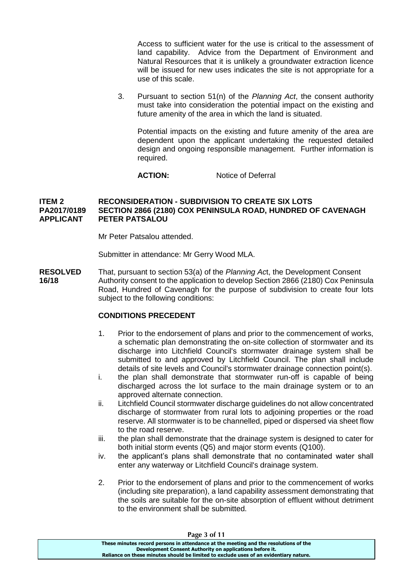Access to sufficient water for the use is critical to the assessment of land capability. Advice from the Department of Environment and Natural Resources that it is unlikely a groundwater extraction licence will be issued for new uses indicates the site is not appropriate for a use of this scale.

3. Pursuant to section 51(n) of the *Planning Act*, the consent authority must take into consideration the potential impact on the existing and future amenity of the area in which the land is situated.

Potential impacts on the existing and future amenity of the area are dependent upon the applicant undertaking the requested detailed design and ongoing responsible management. Further information is required.

**ACTION:** Notice of Deferral

#### **ITEM 2 RECONSIDERATION - SUBDIVISION TO CREATE SIX LOTS PA2017/0189 SECTION 2866 (2180) COX PENINSULA ROAD, HUNDRED OF CAVENAGH APPLICANT PETER PATSALOU**

Mr Peter Patsalou attended.

Submitter in attendance: Mr Gerry Wood MLA.

**RESOLVED** That, pursuant to section 53(a) of the *Planning Ac*t, the Development Consent **16/18** Authority consent to the application to develop Section 2866 (2180) Cox Peninsula Road, Hundred of Cavenagh for the purpose of subdivision to create four lots subject to the following conditions:

#### **CONDITIONS PRECEDENT**

- 1. Prior to the endorsement of plans and prior to the commencement of works, a schematic plan demonstrating the on-site collection of stormwater and its discharge into Litchfield Council's stormwater drainage system shall be submitted to and approved by Litchfield Council. The plan shall include details of site levels and Council's stormwater drainage connection point(s).
- i. the plan shall demonstrate that stormwater run-off is capable of being discharged across the lot surface to the main drainage system or to an approved alternate connection.
- ii. Litchfield Council stormwater discharge guidelines do not allow concentrated discharge of stormwater from rural lots to adjoining properties or the road reserve. All stormwater is to be channelled, piped or dispersed via sheet flow to the road reserve.
- iii. the plan shall demonstrate that the drainage system is designed to cater for both initial storm events (Q5) and major storm events (Q100).
- iv. the applicant's plans shall demonstrate that no contaminated water shall enter any waterway or Litchfield Council's drainage system.
- 2. Prior to the endorsement of plans and prior to the commencement of works (including site preparation), a land capability assessment demonstrating that the soils are suitable for the on-site absorption of effluent without detriment to the environment shall be submitted.

| Page 3 of 11                                                                          |  |
|---------------------------------------------------------------------------------------|--|
| These minutes record persons in attendance at the meeting and the resolutions of the  |  |
| Development Consent Authority on applications before it.                              |  |
| Reliance on these minutes should be limited to exclude uses of an evidentiary nature. |  |

**Page 3 of 11**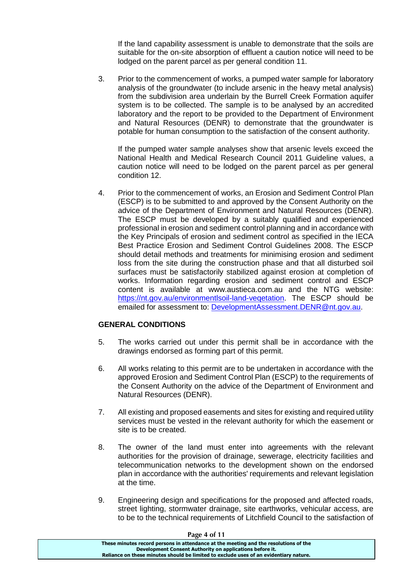If the land capability assessment is unable to demonstrate that the soils are suitable for the on-site absorption of effluent a caution notice will need to be lodged on the parent parcel as per general condition 11.

3. Prior to the commencement of works, a pumped water sample for laboratory analysis of the groundwater (to include arsenic in the heavy metal analysis) from the subdivision area underlain by the Burrell Creek Formation aquifer system is to be collected. The sample is to be analysed by an accredited laboratory and the report to be provided to the Department of Environment and Natural Resources (DENR) to demonstrate that the groundwater is potable for human consumption to the satisfaction of the consent authority.

If the pumped water sample analyses show that arsenic levels exceed the National Health and Medical Research Council 2011 Guideline values, a caution notice will need to be lodged on the parent parcel as per general condition 12.

4. Prior to the commencement of works, an Erosion and Sediment Control Plan (ESCP) is to be submitted to and approved by the Consent Authority on the advice of the Department of Environment and Natural Resources (DENR). The ESCP must be developed by a suitably qualified and experienced professional in erosion and sediment control planning and in accordance with the Key Principals of erosion and sediment control as specified in the IECA Best Practice Erosion and Sediment Control Guidelines 2008. The ESCP should detail methods and treatments for minimising erosion and sediment loss from the site during the construction phase and that all disturbed soil surfaces must be satisfactorily stabilized against erosion at completion of works. Information regarding erosion and sediment control and ESCP content is available at www.austieca.com.au and the NTG website: https://nt.gov.au/environmentlsoil-land-vegetation. The ESCP should be emailed for assessment to: [DevelopmentAssessment.DENR@nt.gov.au.](mailto:DevelopmentAssessment.DENR@nt.gov.au)

#### **GENERAL CONDITIONS**

- 5. The works carried out under this permit shall be in accordance with the drawings endorsed as forming part of this permit.
- 6. All works relating to this permit are to be undertaken in accordance with the approved Erosion and Sediment Control Plan (ESCP) to the requirements of the Consent Authority on the advice of the Department of Environment and Natural Resources (DENR).
- 7. All existing and proposed easements and sites for existing and required utility services must be vested in the relevant authority for which the easement or site is to be created.
- 8. The owner of the land must enter into agreements with the relevant authorities for the provision of drainage, sewerage, electricity facilities and telecommunication networks to the development shown on the endorsed plan in accordance with the authorities' requirements and relevant legislation at the time.
- 9. Engineering design and specifications for the proposed and affected roads, street lighting, stormwater drainage, site earthworks, vehicular access, are to be to the technical requirements of Litchfield Council to the satisfaction of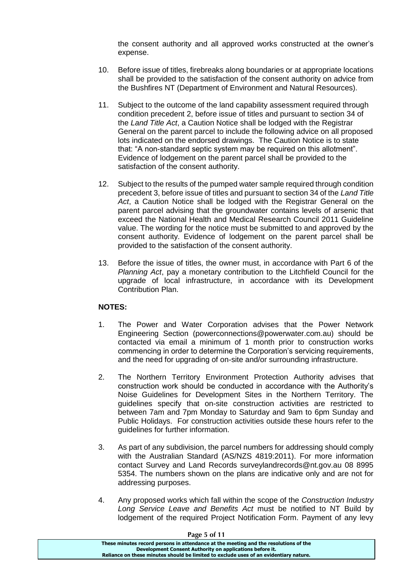the consent authority and all approved works constructed at the owner's expense.

- 10. Before issue of titles, firebreaks along boundaries or at appropriate locations shall be provided to the satisfaction of the consent authority on advice from the Bushfires NT (Department of Environment and Natural Resources).
- 11. Subject to the outcome of the land capability assessment required through condition precedent 2, before issue of titles and pursuant to section 34 of the *Land Title Act*, a Caution Notice shall be lodged with the Registrar General on the parent parcel to include the following advice on all proposed lots indicated on the endorsed drawings. The Caution Notice is to state that: "A non-standard septic system may be required on this allotment". Evidence of lodgement on the parent parcel shall be provided to the satisfaction of the consent authority.
- 12. Subject to the results of the pumped water sample required through condition precedent 3, before issue of titles and pursuant to section 34 of the *Land Title Act*, a Caution Notice shall be lodged with the Registrar General on the parent parcel advising that the groundwater contains levels of arsenic that exceed the National Health and Medical Research Council 2011 Guideline value. The wording for the notice must be submitted to and approved by the consent authority. Evidence of lodgement on the parent parcel shall be provided to the satisfaction of the consent authority.
- 13. Before the issue of titles, the owner must, in accordance with Part 6 of the *Planning Act*, pay a monetary contribution to the Litchfield Council for the upgrade of local infrastructure, in accordance with its Development Contribution Plan.

#### **NOTES:**

- 1. The Power and Water Corporation advises that the Power Network Engineering Section (powerconnections@powerwater.com.au) should be contacted via email a minimum of 1 month prior to construction works commencing in order to determine the Corporation's servicing requirements, and the need for upgrading of on-site and/or surrounding infrastructure.
- 2. The Northern Territory Environment Protection Authority advises that construction work should be conducted in accordance with the Authority's Noise Guidelines for Development Sites in the Northern Territory. The guidelines specify that on-site construction activities are restricted to between 7am and 7pm Monday to Saturday and 9am to 6pm Sunday and Public Holidays. For construction activities outside these hours refer to the guidelines for further information.
- 3. As part of any subdivision, the parcel numbers for addressing should comply with the Australian Standard (AS/NZS 4819:2011). For more information contact Survey and Land Records surveylandrecords@nt.gov.au 08 8995 5354. The numbers shown on the plans are indicative only and are not for addressing purposes.
- 4. Any proposed works which fall within the scope of the *Construction Industry Long Service Leave and Benefits Act* must be notified to NT Build by lodgement of the required Project Notification Form. Payment of any levy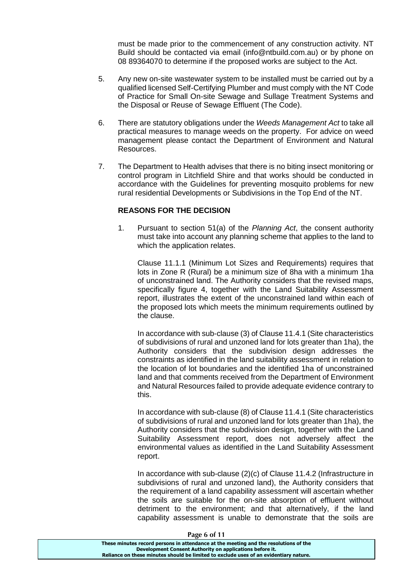must be made prior to the commencement of any construction activity. NT Build should be contacted via email (info@ntbuild.com.au) or by phone on 08 89364070 to determine if the proposed works are subject to the Act.

- 5. Any new on-site wastewater system to be installed must be carried out by a qualified licensed Self-Certifying Plumber and must comply with the NT Code of Practice for Small On-site Sewage and Sullage Treatment Systems and the Disposal or Reuse of Sewage Effluent (The Code).
- 6. There are statutory obligations under the *Weeds Management Act* to take all practical measures to manage weeds on the property. For advice on weed management please contact the Department of Environment and Natural Resources.
- 7. The Department to Health advises that there is no biting insect monitoring or control program in Litchfield Shire and that works should be conducted in accordance with the Guidelines for preventing mosquito problems for new rural residential Developments or Subdivisions in the Top End of the NT.

#### **REASONS FOR THE DECISION**

1. Pursuant to section 51(a) of the *Planning Act*, the consent authority must take into account any planning scheme that applies to the land to which the application relates.

Clause 11.1.1 (Minimum Lot Sizes and Requirements) requires that lots in Zone R (Rural) be a minimum size of 8ha with a minimum 1ha of unconstrained land. The Authority considers that the revised maps, specifically figure 4, together with the Land Suitability Assessment report, illustrates the extent of the unconstrained land within each of the proposed lots which meets the minimum requirements outlined by the clause.

In accordance with sub-clause (3) of Clause 11.4.1 (Site characteristics of subdivisions of rural and unzoned land for lots greater than 1ha), the Authority considers that the subdivision design addresses the constraints as identified in the land suitability assessment in relation to the location of lot boundaries and the identified 1ha of unconstrained land and that comments received from the Department of Environment and Natural Resources failed to provide adequate evidence contrary to this.

In accordance with sub-clause (8) of Clause 11.4.1 (Site characteristics of subdivisions of rural and unzoned land for lots greater than 1ha), the Authority considers that the subdivision design, together with the Land Suitability Assessment report, does not adversely affect the environmental values as identified in the Land Suitability Assessment report.

In accordance with sub-clause (2)(c) of Clause 11.4.2 (Infrastructure in subdivisions of rural and unzoned land), the Authority considers that the requirement of a land capability assessment will ascertain whether the soils are suitable for the on-site absorption of effluent without detriment to the environment; and that alternatively, if the land capability assessment is unable to demonstrate that the soils are

| Page 6 of 11                                                                          |  |
|---------------------------------------------------------------------------------------|--|
| These minutes record persons in attendance at the meeting and the resolutions of the  |  |
| Development Consent Authority on applications before it.                              |  |
| Reliance on these minutes should be limited to exclude uses of an evidentiary nature. |  |
|                                                                                       |  |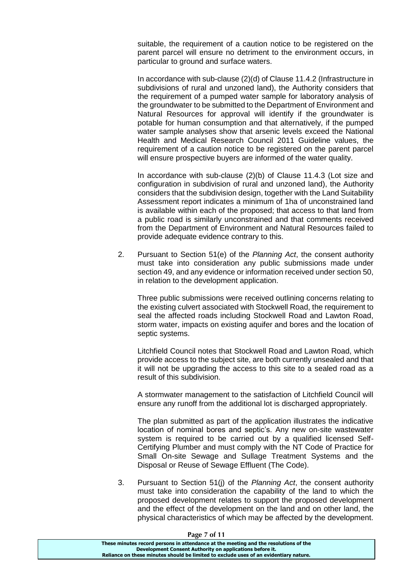suitable, the requirement of a caution notice to be registered on the parent parcel will ensure no detriment to the environment occurs, in particular to ground and surface waters.

In accordance with sub-clause (2)(d) of Clause 11.4.2 (Infrastructure in subdivisions of rural and unzoned land), the Authority considers that the requirement of a pumped water sample for laboratory analysis of the groundwater to be submitted to the Department of Environment and Natural Resources for approval will identify if the groundwater is potable for human consumption and that alternatively, if the pumped water sample analyses show that arsenic levels exceed the National Health and Medical Research Council 2011 Guideline values, the requirement of a caution notice to be registered on the parent parcel will ensure prospective buyers are informed of the water quality.

In accordance with sub-clause (2)(b) of Clause 11.4.3 (Lot size and configuration in subdivision of rural and unzoned land), the Authority considers that the subdivision design, together with the Land Suitability Assessment report indicates a minimum of 1ha of unconstrained land is available within each of the proposed; that access to that land from a public road is similarly unconstrained and that comments received from the Department of Environment and Natural Resources failed to provide adequate evidence contrary to this.

2. Pursuant to Section 51(e) of the *Planning Act*, the consent authority must take into consideration any public submissions made under section 49, and any evidence or information received under section 50, in relation to the development application.

Three public submissions were received outlining concerns relating to the existing culvert associated with Stockwell Road, the requirement to seal the affected roads including Stockwell Road and Lawton Road, storm water, impacts on existing aquifer and bores and the location of septic systems.

Litchfield Council notes that Stockwell Road and Lawton Road, which provide access to the subject site, are both currently unsealed and that it will not be upgrading the access to this site to a sealed road as a result of this subdivision.

A stormwater management to the satisfaction of Litchfield Council will ensure any runoff from the additional lot is discharged appropriately.

The plan submitted as part of the application illustrates the indicative location of nominal bores and septic's. Any new on-site wastewater system is required to be carried out by a qualified licensed Self-Certifying Plumber and must comply with the NT Code of Practice for Small On-site Sewage and Sullage Treatment Systems and the Disposal or Reuse of Sewage Effluent (The Code).

3. Pursuant to Section 51(j) of the *Planning Act*, the consent authority must take into consideration the capability of the land to which the proposed development relates to support the proposed development and the effect of the development on the land and on other land, the physical characteristics of which may be affected by the development.

**Page 7 of 11**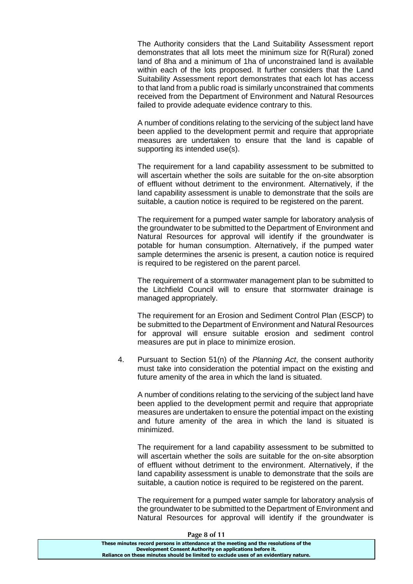The Authority considers that the Land Suitability Assessment report demonstrates that all lots meet the minimum size for R(Rural) zoned land of 8ha and a minimum of 1ha of unconstrained land is available within each of the lots proposed. It further considers that the Land Suitability Assessment report demonstrates that each lot has access to that land from a public road is similarly unconstrained that comments received from the Department of Environment and Natural Resources failed to provide adequate evidence contrary to this.

A number of conditions relating to the servicing of the subject land have been applied to the development permit and require that appropriate measures are undertaken to ensure that the land is capable of supporting its intended use(s).

The requirement for a land capability assessment to be submitted to will ascertain whether the soils are suitable for the on-site absorption of effluent without detriment to the environment. Alternatively, if the land capability assessment is unable to demonstrate that the soils are suitable, a caution notice is required to be registered on the parent.

The requirement for a pumped water sample for laboratory analysis of the groundwater to be submitted to the Department of Environment and Natural Resources for approval will identify if the groundwater is potable for human consumption. Alternatively, if the pumped water sample determines the arsenic is present, a caution notice is required is required to be registered on the parent parcel.

The requirement of a stormwater management plan to be submitted to the Litchfield Council will to ensure that stormwater drainage is managed appropriately.

The requirement for an Erosion and Sediment Control Plan (ESCP) to be submitted to the Department of Environment and Natural Resources for approval will ensure suitable erosion and sediment control measures are put in place to minimize erosion.

4. Pursuant to Section 51(n) of the *Planning Act*, the consent authority must take into consideration the potential impact on the existing and future amenity of the area in which the land is situated.

A number of conditions relating to the servicing of the subject land have been applied to the development permit and require that appropriate measures are undertaken to ensure the potential impact on the existing and future amenity of the area in which the land is situated is minimized.

The requirement for a land capability assessment to be submitted to will ascertain whether the soils are suitable for the on-site absorption of effluent without detriment to the environment. Alternatively, if the land capability assessment is unable to demonstrate that the soils are suitable, a caution notice is required to be registered on the parent.

The requirement for a pumped water sample for laboratory analysis of the groundwater to be submitted to the Department of Environment and Natural Resources for approval will identify if the groundwater is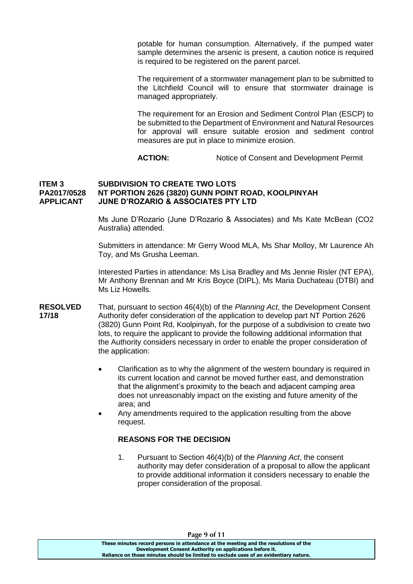potable for human consumption. Alternatively, if the pumped water sample determines the arsenic is present, a caution notice is required is required to be registered on the parent parcel.

The requirement of a stormwater management plan to be submitted to the Litchfield Council will to ensure that stormwater drainage is managed appropriately.

The requirement for an Erosion and Sediment Control Plan (ESCP) to be submitted to the Department of Environment and Natural Resources for approval will ensure suitable erosion and sediment control measures are put in place to minimize erosion.

**ACTION:** Notice of Consent and Development Permit

#### **ITEM 3 SUBDIVISION TO CREATE TWO LOTS PA2017/0528 NT PORTION 2626 (3820) GUNN POINT ROAD, KOOLPINYAH APPLICANT JUNE D'ROZARIO & ASSOCIATES PTY LTD**

Ms June D'Rozario (June D'Rozario & Associates) and Ms Kate McBean (CO2 Australia) attended.

Submitters in attendance: Mr Gerry Wood MLA, Ms Shar Molloy, Mr Laurence Ah Toy, and Ms Grusha Leeman.

Interested Parties in attendance: Ms Lisa Bradley and Ms Jennie Risler (NT EPA), Mr Anthony Brennan and Mr Kris Boyce (DIPL), Ms Maria Duchateau (DTBI) and Ms Liz Howells.

- **RESOLVED** That, pursuant to section 46(4)(b) of the *Planning Act*, the Development Consent **17/18** Authority defer consideration of the application to develop part NT Portion 2626 (3820) Gunn Point Rd, Koolpinyah, for the purpose of a subdivision to create two lots, to require the applicant to provide the following additional information that the Authority considers necessary in order to enable the proper consideration of the application:
	- Clarification as to why the alignment of the western boundary is required in its current location and cannot be moved further east, and demonstration that the alignment's proximity to the beach and adjacent camping area does not unreasonably impact on the existing and future amenity of the area; and
	- Any amendments required to the application resulting from the above request.

#### **REASONS FOR THE DECISION**

1. Pursuant to Section 46(4)(b) of the *Planning Act*, the consent authority may defer consideration of a proposal to allow the applicant to provide additional information it considers necessary to enable the proper consideration of the proposal.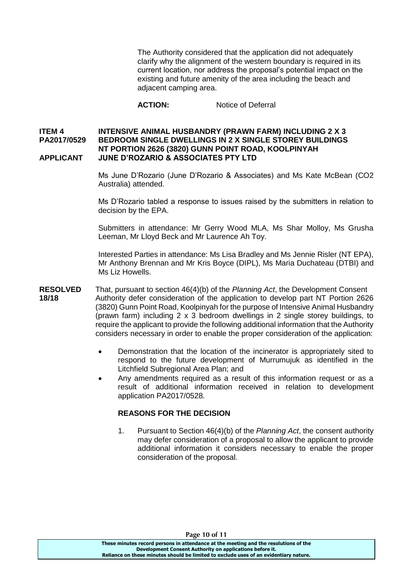The Authority considered that the application did not adequately clarify why the alignment of the western boundary is required in its current location, nor address the proposal's potential impact on the existing and future amenity of the area including the beach and adjacent camping area.

**ACTION:** Notice of Deferral

#### **ITEM 4 INTENSIVE ANIMAL HUSBANDRY (PRAWN FARM) INCLUDING 2 X 3 PA2017/0529 BEDROOM SINGLE DWELLINGS IN 2 X SINGLE STOREY BUILDINGS NT PORTION 2626 (3820) GUNN POINT ROAD, KOOLPINYAH APPLICANT JUNE D'ROZARIO & ASSOCIATES PTY LTD**

Ms June D'Rozario (June D'Rozario & Associates) and Ms Kate McBean (CO2 Australia) attended.

Ms D'Rozario tabled a response to issues raised by the submitters in relation to decision by the EPA.

Submitters in attendance: Mr Gerry Wood MLA, Ms Shar Molloy, Ms Grusha Leeman, Mr Lloyd Beck and Mr Laurence Ah Toy.

Interested Parties in attendance: Ms Lisa Bradley and Ms Jennie Risler (NT EPA), Mr Anthony Brennan and Mr Kris Boyce (DIPL), Ms Maria Duchateau (DTBI) and Ms Liz Howells.

- **RESOLVED** That, pursuant to section 46(4)(b) of the *Planning Act*, the Development Consent **18/18** Authority defer consideration of the application to develop part NT Portion 2626 (3820) Gunn Point Road, Koolpinyah for the purpose of Intensive Animal Husbandry (prawn farm) including 2 x 3 bedroom dwellings in 2 single storey buildings, to require the applicant to provide the following additional information that the Authority considers necessary in order to enable the proper consideration of the application:
	- Demonstration that the location of the incinerator is appropriately sited to respond to the future development of Murrumujuk as identified in the Litchfield Subregional Area Plan; and
	- Any amendments required as a result of this information request or as a result of additional information received in relation to development application PA2017/0528.

#### **REASONS FOR THE DECISION**

1. Pursuant to Section 46(4)(b) of the *Planning Act*, the consent authority may defer consideration of a proposal to allow the applicant to provide additional information it considers necessary to enable the proper consideration of the proposal.

**Page 10 of 11**